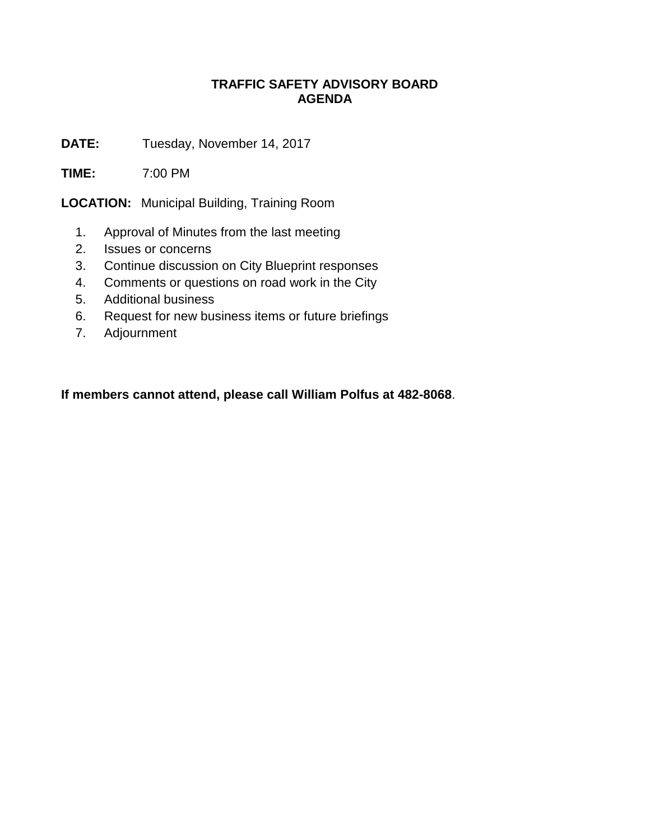## **TRAFFIC SAFETY ADVISORY BOARD AGENDA**

**DATE:** Tuesday, November 14, 2017

**TIME:** 7:00 PM

**LOCATION:** Municipal Building, Training Room

- 1. Approval of Minutes from the last meeting
- 2. Issues or concerns
- 3. Continue discussion on City Blueprint responses
- 4. Comments or questions on road work in the City
- 5. Additional business
- 6. Request for new business items or future briefings
- 7. Adjournment

**If members cannot attend, please call William Polfus at 482-8068**.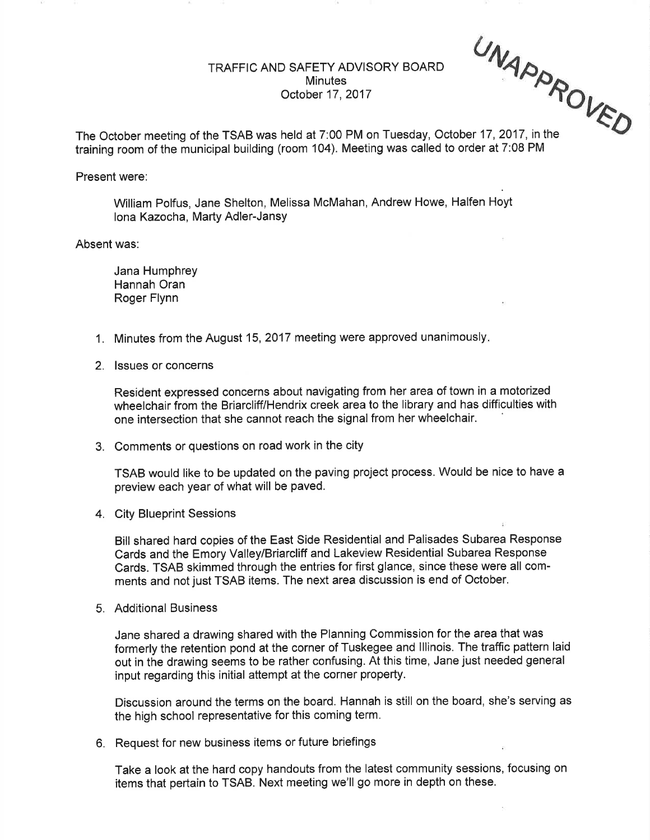## TRAFFIC AND SAFETY ADVISORY BOARD Minutes October 17,2017

UNAPR

 $V_{\mathcal{F}_{\mathcal{D}}}$ 

The October meeting of the TSAB was held at 7:00 PM on Tuesday, October 17,2017, in the training room of the municipal building (room 104). Meeting was called to order at 7:08 PM

## Present were:

William Polfus, Jane Shelton, Melissa McMahan, Andrew Howe, Halfen Hoyt lona Kazocha, Marty Adler-JansY

Absent was:

Jana Humphrey Hannah Oran Roger Flynn

- 1. Minutes from the August 15,2017 meeting were approved unanimously
- 2. lssues or concerns

Resident expressed concerns about navigating from her area of town in a motorized wheelchair from the Briarcliff/Hendrix creek area to the library and has difficulties with one intersection that she cannot reach the signal from her wheelchair

3. Comments or questions on road work in the city

TSAB would like to be updated on the paving project process. Would be nice to have a preview each year of what will be paved.

4. City Blueprint Sessions

Bill shared hard copies of the East Side Residential and Palisades Subarea Response Cards and the Emory Valley/Briarcliff and Lakeview Residential Subarea Response Cards. TSAB skimmed through the entries for first glance, since these were all comments and not just TSAB items. The next area discussion is end of October.

5. Additional Business

Jane shared a drawing shared with the Planning Commission for the area that was formerly the retention pond at the corner of Tuskegee and lllinois. The traffic pattern laid out in the drawing seems to be rather confusing. At this time, Jane just needed general input regarding this initial attempt at the corner property.

Discussion around the terms on the board. Hannah is still on the board, she's serving as the high school representative for this coming term,

6. Request for new business items or future briefings

Take a look at the hard copy handouts from the latest community sessions, focusing on items that pertain to TSAB. Next meeting we'll go more in depth on these.